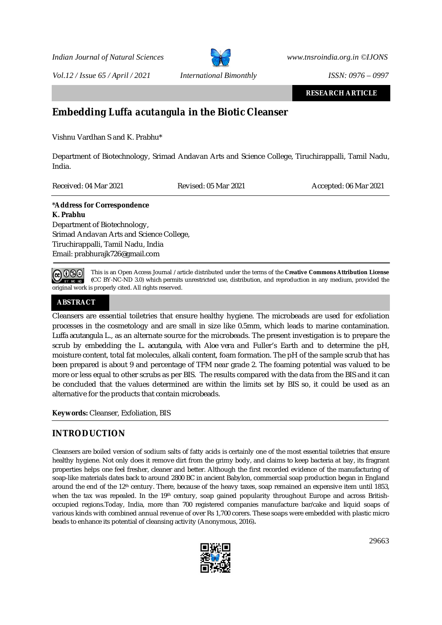

*Vol.12 / Issue 65 / April / 2021 International Bimonthly ISSN: 0976 – 0997*

**RESEARCH ARTICLE**

# **Embedding** *Luffa acutangula* **in the Biotic Cleanser**

Vishnu Vardhan S and K. Prabhu\*

Department of Biotechnology, Srimad Andavan Arts and Science College, Tiruchirappalli, Tamil Nadu, India.

Received: 04 Mar 2021 Revised: 05 Mar 2021 Accepted: 06 Mar 2021

# \***Address for Correspondence**

## **K. Prabhu**

Department of Biotechnology, Srimad Andavan Arts and Science College, Tiruchirappalli, Tamil Nadu, India Email: [prabhurajk726@gmail.com](mailto:prabhurajk726@gmail.com)

@ 0\$⊙ BY NC ND

This is an Open Access Journal / article distributed under the terms of the **Creative Commons Attribution License (**CC BY-NC-ND 3.0) which permits unrestricted use, distribution, and reproduction in any medium, provided the original work is properly cited. All rights reserved.

# **ABSTRACT**

Cleansers are essential toiletries that ensure healthy hygiene. The microbeads are used for exfoliation processes in the cosmetology and are small in size like 0.5mm, which leads to marine contamination. *Luffa acutangula* L., as an alternate source for the microbeads. The present investigation is to prepare the scrub by embedding the *L. acutangula*, with *Aloe vera* and Fuller's Earth and to determine the pH, moisture content, total fat molecules, alkali content, foam formation. The pH of the sample scrub that has been prepared is about 9 and percentage of TFM near grade 2. The foaming potential was valued to be more or less equal to other scrubs as per BIS. The results compared with the data from the BIS and it can be concluded that the values determined are within the limits set by BIS so, it could be used as an alternative for the products that contain microbeads.

**Keywords:** Cleanser, Exfoliation, BIS

# **INTRODUCTION**

Cleansers are boiled version of sodium salts of fatty acids is certainly one of the most essential toiletries that ensure healthy hygiene. Not only does it remove dirt from the grimy body, and claims to keep bacteria at bay, its fragrant properties helps one feel fresher, cleaner and better. Although the first recorded evidence of the manufacturing of soap-like materials dates back to around 2800 BC in ancient Babylon, commercial soap production began in England around the end of the 12<sup>th</sup> century. There, because of the heavy taxes, soap remained an expensive item until 1853, when the tax was repealed. In the 19<sup>th</sup> century, soap gained popularity throughout Europe and across Britishoccupied regions.Today, India, more than 700 registered companies manufacture bar/cake and liquid soaps of various kinds with combined annual revenue of over Rs 1,700 corers. These soaps were embedded with plastic micro beads to enhance its potential of cleansing activity (Anonymous, 2016)**.** 

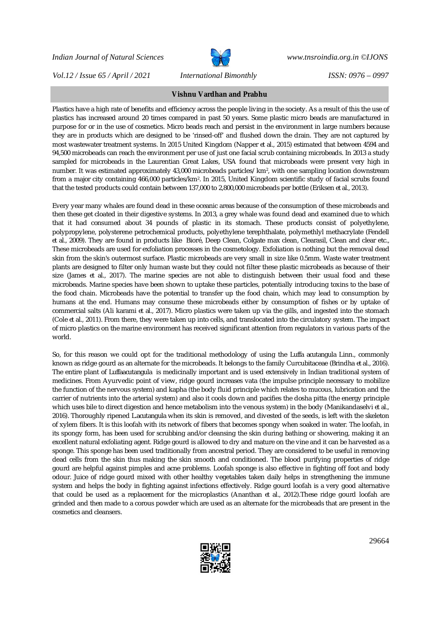

*Vol.12 / Issue 65 / April / 2021 International Bimonthly ISSN: 0976 – 0997*

# **Vishnu Vardhan and Prabhu**

Plastics have a high rate of benefits and efficiency across the people living in the society. As a result of this the use of plastics has increased around 20 times compared in past 50 years. Some plastic micro beads are manufactured in purpose for or in the use of cosmetics. Micro beads reach and persist in the environment in large numbers because they are in products which are designed to be 'rinsed-off' and flushed down the drain. They are not captured by most wastewater treatment systems. In 2015 United Kingdom (Napper *et al*., 2015) estimated that between 4594 and 94,500 microbeads can reach the environment per use of just one facial scrub containing microbeads. In 2013 a study sampled for microbeads in the Laurentian Great Lakes, USA found that microbeads were present very high in number. It was estimated approximately 43,000 microbeads particles/ km², with one sampling location downstream from a major city containing 466,000 particles/km<sup>2</sup> . In 2015, United Kingdom scientific study of facial scrubs found that the tested products could contain between 137,000 to 2,800,000 microbeads per bottle (Eriksen *et al.,* 2013).

Every year many whales are found dead in these oceanic areas because of the consumption of these microbeads and then these get cloated in their digestive systems. In 2013, a grey whale was found dead and examined due to which that it had consumed about 34 pounds of plastic in its stomach. These products consist of polyethylene, polypropylene, polysterene petrochemical products, polyethylene terephthalate, polymethlyl methacrylate (Fendell *et al*., 2009). They are found in products like Bioré, Deep Clean, Colgate max clean, Clearasil, Clean and clear etc., These microbeads are used for exfoliation processes in the cosmetology. Exfoliation is nothing but the removal dead skin from the skin's outermost surface. Plastic microbeads are very small in size like 0.5mm. Waste water treatment plants are designed to filter only human waste but they could not filter these plastic microbeads as because of their size (James *et al*., 2017). The marine species are not able to distinguish between their usual food and these microbeads. Marine species have been shown to uptake these particles, potentially introducing toxins to the base of the food chain. Microbeads have the potential to transfer up the food chain, which may lead to consumption by humans at the end. Humans may consume these microbeads either by consumption of fishes or by uptake of commercial salts (Ali karami *et al.*, 2017). Micro plastics were taken up via the gills, and ingested into the stomach (Cole *et al.,* 2011). From there, they were taken up into cells, and translocated into the circulatory system. The impact of micro plastics on the marine environment has received significant attention from regulators in various parts of the world.

So, for this reason we could opt for the traditional methodology of using the *Luffa acutangula* Linn., commonly known as ridge gourd as an alternate for the microbeads. It belongs to the family Curcubitaceae (Brindha *et al*., 2016). The entire plant of *Luffaacutangula* is medicinally important and is used extensively in Indian traditional system of medicines. From Ayurvedic point of view, ridge gourd increases vata (the impulse principle necessary to mobilize the function of the nervous system) and kapha (the body fluid principle which relates to mucous, lubrication and the carrier of nutrients into the arterial system) and also it cools down and pacifies the dosha pitta (the energy principle which uses bile to direct digestion and hence metabolism into the venous system) in the body (Manikandaselvi *et al.,* 2016). Thoroughly ripened *L.acutangula* when its skin is removed, and divested of the seeds, is left with the skeleton of xylem fibers. It is this loofah with its network of fibers that becomes spongy when soaked in water. The loofah, in its spongy form, has been used for scrubbing and/or cleansing the skin during bathing or showering, making it an excellent natural exfoliating agent. Ridge gourd is allowed to dry and mature on the vine and it can be harvested as a sponge. This sponge has been used traditionally from ancestral period. They are considered to be useful in removing dead cells from the skin thus making the skin smooth and conditioned. The blood purifying properties of ridge gourd are helpful against pimples and acne problems. Loofah sponge is also effective in fighting off foot and body odour. Juice of ridge gourd mixed with other healthy vegetables taken daily helps in strengthening the immune system and helps the body in fighting against infections effectively. Ridge gourd loofah is a very good alternative that could be used as a replacement for the microplastics (Ananthan *et al.,* 2012).These ridge gourd loofah are grinded and then made to a corous powder which are used as an alternate for the microbeads that are present in the cosmetics and cleansers.

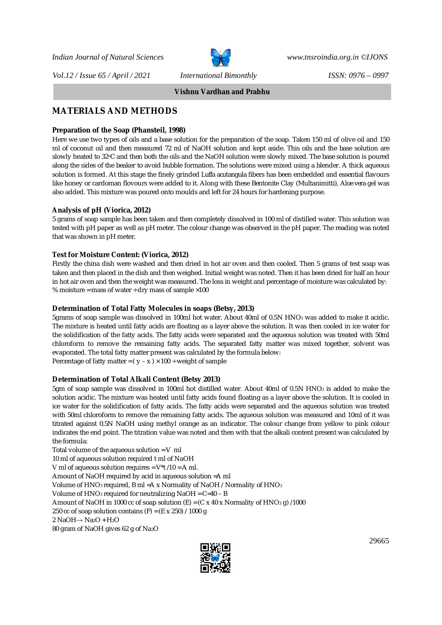*Vol.12 / Issue 65 / April / 2021 International Bimonthly ISSN: 0976 – 0997*



**Vishnu Vardhan and Prabhu**

# **MATERIALS AND METHODS**

#### **Preparation of the Soap (Phansteil, 1998)**

Here we use two types of oils and a base solution for the preparation of the soap. Taken 150 ml of olive oil and 150 ml of coconut oil and then measured 72 ml of NaOH solution and kept aside. This oils and the base solution are slowly heated to 32°C and then both the oils and the NaOH solution were slowly mixed. The base solution is poured along the sides of the beaker to avoid bubble formation. The solutions were mixed using a blender. A thick aqueous solution is formed. At this stage the finely grinded *Luffa acutangula* fibers has been embedded and essential flavours like honey or cardoman flovours were added to it. Along with these Bentonite Clay (Multanimitti), *Aloe vera* gel was also added. This mixture was poured onto moulds and left for 24 hours for hardening purpose.

#### **Analysis of pH (Viorica, 2012)**

5 grams of soap sample has been taken and then completely dissolved in 100 ml of distilled water. This solution was tested with pH paper as well as pH meter. The colour change was observed in the pH paper. The reading was noted that was shown in pH meter.

#### **Test for Moisture Content: (Viorica, 2012)**

Firstly the china dish were washed and then dried in hot air oven and then cooled. Then 5 grams of test soap was taken and then placed in the dish and then weighed. Initial weight was noted. Then it has been dried for half an hour in hot air oven and then the weight was measured. The loss in weight and percentage of moisture was calculated by: % moisture = mass of water  $\div$  dry mass of sample  $\times$ 100

#### **Determination of Total Fatty Molecules in soaps (Betsy, 2013)**

5grams of soap sample was dissolved in 100ml hot water. About 40ml of 0.5N HNO<sup>3</sup> was added to make it acidic. The mixture is heated until fatty acids are floating as a layer above the solution. It was then cooled in ice water for the solidification of the fatty acids. The fatty acids were separated and the aqueous solution was treated with 50ml chloroform to remove the remaining fatty acids. The separated fatty matter was mixed together, solvent was evaporated. The total fatty matter present was calculated by the formula below: Percentage of fatty matter =  $(y - x) \times 100 \div$  weight of sample

#### **Determination of Total Alkali Content (Betsy 2013)**

5gm of soap sample was dissolved in 100ml hot distilled water. About 40ml of 0.5N HNO<sup>3</sup> is added to make the solution acidic. The mixture was heated until fatty acids found floating as a layer above the solution. It is cooled in ice water for the solidification of fatty acids. The fatty acids were separated and the aqueous solution was treated with 50ml chloroform to remove the remaining fatty acids. The aqueous solution was measured and 10ml of it was titrated against 0.5N NaOH using methyl orange as an indicator. The colour change from yellow to pink colour indicates the end point. The titration value was noted and then with that the alkali content present was calculated by the formula:

Total volume of the aqueous solution = V ml 10 ml of aqueous solution required t ml of NaOH V ml of aqueous solution requires = V\*t /10 = A ml. Amount of NaOH required by acid in aqueous solution =A ml Volume of HNO<sup>3</sup> required, B ml =A x Normality of NaOH / Normality of HNO<sup>3</sup> Volume of HNO<sup>3</sup> required for neutralizing NaOH = C=40 – B Amount of NaOH in 1000 cc of soap solution  $(E) = (C \times 40 \times \text{Normality of HNO}_3 \text{ g}) / 1000$ 250 cc of soap solution contains  $(F) = (E \times 250) / 1000$  g 2 NaOH→ Na2O + H2O 80 gram of NaOH gives 62 g of Na2O

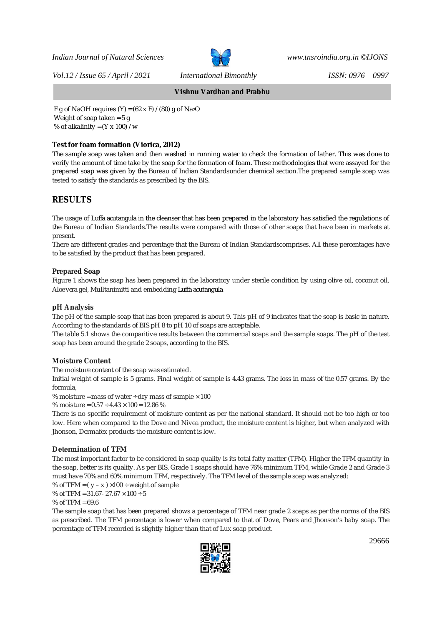

*Vol.12 / Issue 65 / April / 2021 International Bimonthly ISSN: 0976 – 0997*

**Vishnu Vardhan and Prabhu**

F g of NaOH requires  $(Y) = (62 \times F) / (80)$  g of Na<sub>2</sub>O Weight of soap taken = 5 g % of alkalinity =  $(Y \times 100) / w$ 

## **Test for foam formation (Viorica, 2012)**

The sample soap was taken and then washed in running water to check the formation of lather. This was done to verify the amount of time take by the soap for the formation of foam. These methodologies that were assayed for the prepared soap was given by the Bureau of Indian Standardsunder chemical section.The prepared sample soap was tested to satisfy the standards as prescribed by the BIS.

# **RESULTS**

The usage of *Luffa acutangula* in the cleanser that has been prepared in the laboratory has satisfied the regulations of the Bureau of Indian Standards.The results were compared with those of other soaps that have been in markets at present.

There are different grades and percentage that the Bureau of Indian Standardscomprises. All these percentages have to be satisfied by the product that has been prepared.

## **Prepared Soap**

Figure 1 shows **t**he soap has been prepared in the laboratory under sterile condition by using olive oil, coconut oil, *Aloe vera* gel, Mulltanimitti and embedding *Luffa acutangula*

## **pH Analysis**

The pH of the sample soap that has been prepared is about 9. This pH of 9 indicates that the soap is basic in nature. According to the standards of BIS pH 8 to pH 10 of soaps are acceptable.

The table 5.1 shows the comparitive results between the commercial soaps and the sample soaps. The pH of the test soap has been around the grade 2 soaps, according to the BIS.

## **Moisture Content**

The moisture content of the soap was estimated.

Initial weight of sample is 5 grams. Final weight of sample is 4.43 grams. The loss in mass of the 0.57 grams. By the formula,

% moisture = mass of water  $\div$  dry mass of sample  $\times$  100

% moisture = 0.57 ÷ 4.43 × 100 = 12.86 %

There is no specific requirement of moisture content as per the national standard. It should not be too high or too low. Here when compared to the Dove and Nivea product, the moisture content is higher, but when analyzed with Jhonson, Dermafex products the moisture content is low.

## **Determination of TFM**

The most important factor to be considered in soap quality is its total fatty matter (TFM). Higher the TFM quantity in the soap, better is its quality. As per BIS, Grade 1 soaps should have 76% minimum TFM, while Grade 2 and Grade 3 must have 70% and 60% minimum TFM, respectively. The TFM level of the sample soap was analyzed:

% of TFM =  $(y - x) \times 100 \div$  weight of sample

% of TFM =  $31.67 - 27.67 \times 100 \div 5$ 

#### % of  $TFM = 69.6$

The sample soap that has been prepared shows a percentage of TFM near grade 2 soaps as per the norms of the BIS as prescribed. The TFM percentage is lower when compared to that of Dove, Pears and Jhonson's baby soap. The percentage of TFM recorded is slightly higher than that of Lux soap product.

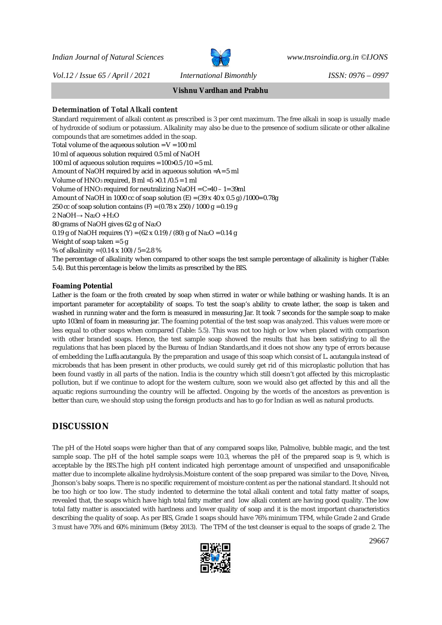*Vol.12 / Issue 65 / April / 2021 International Bimonthly ISSN: 0976 – 0997*



**Vishnu Vardhan and Prabhu**

## **Determination of Total Alkali content**

Standard requirement of alkali content as prescribed is 3 per cent maximum. The free alkali in soap is usually made of hydroxide of sodium or potassium. Alkalinity may also be due to the presence of sodium silicate or other alkaline compounds that are sometimes added in the soap. Total volume of the aqueous solution =  $V = 100$  ml 10 ml of aqueous solution required 0.5 ml of NaOH 100 ml of aqueous solution requires = 100×0.5 /10 = 5 ml. Amount of NaOH required by acid in aqueous solution =A= 5 ml Volume of HNO<sup>3</sup> required, B ml =5 ×0.1 /0.5 = 1 ml Volume of HNO<sup>3</sup> required for neutralizing NaOH = C=40 – 1= 39ml Amount of NaOH in 1000 cc of soap solution (E) =  $(39 \times 40 \times 0.5 \text{ g})$  /1000= 0.78g 250 cc of soap solution contains (F) =  $(0.78 \times 250)$  / 1000 g = 0.19 g 2 NaOH→ Na2O + H2O 80 grams of NaOH gives 62 g of Na2O 0.19 g of NaOH requires (Y) =  $(62 \times 0.19)$  /  $(80)$  g of Na<sub>2</sub>O = 0.14 g Weight of soap taken = 5 g % of alkalinity = (0.14 x 100) / 5= 2.8 % The percentage of alkalinity when compared to other soaps the test sample percentage of alkalinity is higher (Table: 5.4). But this percentage is below the limits as prescribed by the BIS.

## **Foaming Potential**

Lather is the foam or the froth created by soap when stirred in water or while bathing or washing hands. It is an important parameter for acceptability of soaps. To test the soap's ability to create lather, the soap is taken and washed in running water and the form is measured in measuring Jar. It took 7 seconds for the sample soap to make upto 103ml of foam in measuring jar. The foaming potential of the test soap was analyzed. This values were more or less equal to other soaps when compared (Table: 5.5). This was not too high or low when placed with comparison with other branded soaps. Hence, the test sample soap showed the results that has been satisfying to all the regulations that has been placed by the Bureau of Indian Standards,and it does not show any type of errors because of embedding the *Luffa acutangula.* By the preparation and usage of this soap which consist of *L. acutangula* instead of microbeads that has been present in other products, we could surely get rid of this microplastic pollution that has been found vastly in all parts of the nation. India is the country which still doesn't got affected by this microplastic pollution, but if we continue to adopt for the western culture, soon we would also get affected by this and all the aquatic regions surrounding the country will be affected. Ongoing by the words of the ancestors as prevention is better than cure, we should stop using the foreign products and has to go for Indian as well as natural products.

# **DISCUSSION**

The pH of the Hotel soaps were higher than that of any compared soaps like, Palmolive, bubble magic, and the test sample soap. The pH of the hotel sample soaps were 10.3, whereas the pH of the prepared soap is 9, which is acceptable by the BIS.The high pH content indicated high percentage amount of unspecified and unsaponificable matter due to incomplete alkaline hydrolysis.Moisture content of the soap prepared was similar to the Dove, Nivea, Jhonson's baby soaps. There is no specific requirement of moisture content as per the national standard. It should not be too high or too low. The study indented to determine the total alkali content and total fatty matter of soaps, revealed that, the soaps which have high total fatty matter and low alkali content are having good quality. The low total fatty matter is associated with hardness and lower quality of soap and it is the most important characteristics describing the quality of soap. As per BIS, Grade 1 soaps should have 76% minimum TFM, while Grade 2 and Grade 3 must have 70% and 60% minimum (Betsy 2013). The TFM of the test cleanser is equal to the soaps of grade 2. The

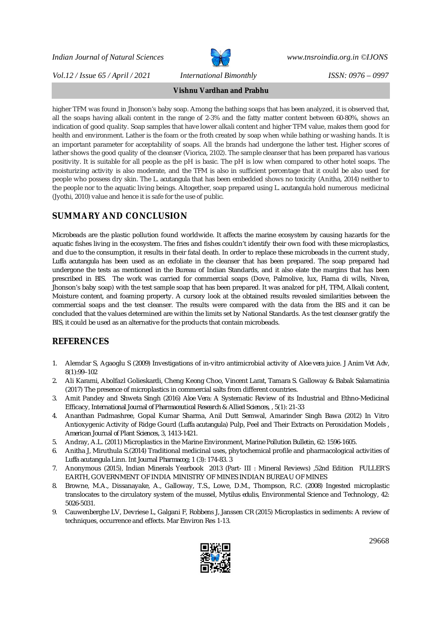

*Vol.12 / Issue 65 / April / 2021 International Bimonthly ISSN: 0976 – 0997*

**Vishnu Vardhan and Prabhu**

higher TFM was found in Jhonson's baby soap. Among the bathing soaps that has been analyzed, it is observed that, all the soaps having alkali content in the range of 2-3% and the fatty matter content between 60-80%, shows an indication of good quality. Soap samples that have lower alkali content and higher TFM value, makes them good for health and environment. Lather is the foam or the froth created by soap when while bathing or washing hands. It is an important parameter for acceptability of soaps. All the brands had undergone the lather test. Higher scores of lather shows the good quality of the cleanser (Viorica, 2102). The sample cleanser that has been prepared has various positivity. It is suitable for all people as the pH is basic. The pH is low when compared to other hotel soaps. The moisturizing activity is also moderate, and the TFM is also in sufficient percentage that it could be also used for people who possess dry skin. The *L. acutangula* that has been embedded shows no toxicity (Anitha, 2014) neither to the people nor to the aquatic living beings. Altogether, soap prepared using *L. acutangula* hold numerous medicinal (Jyothi, 2010) value and hence it is safe for the use of public.

# **SUMMARY AND CONCLUSION**

Microbeads are the plastic pollution found worldwide. It affects the marine ecosystem by causing hazards for the aquatic fishes living in the ecosystem. The fries and fishes couldn't identify their own food with these microplastics, and due to the consumption, it results in their fatal death. In order to replace these microbeads in the current study, *Luffa acutangula* has been used as an exfoliate in the cleanser that has been prepared. The soap prepared had undergone the tests as mentioned in the Bureau of Indian Standards, and it also elate the margins that has been prescribed in BIS. The work was carried for commercial soaps (Dove, Palmolive, lux, Fiama di wills, Nivea, Jhonson's baby soap) with the test sample soap that has been prepared. It was analzed for pH, TFM, Alkali content, Moisture content, and foaming property. A cursory look at the obtained results revealed similarities between the commercial soaps and the test cleanser. The results were compared with the data from the BIS and it can be concluded that the values determined are within the limits set by National Standards. As the test cleanser gratify the BIS, it could be used as an alternative for the products that contain microbeads.

# **REFERENCES**

- 1. Alemdar S, Agaoglu S (2009) Investigations of in-vitro antimicrobial activity of *Aloe vera* juice. *J Anim Vet Adv, 8(1):99–102*
- 2. Ali Karami, Abolfazl Golieskardi, Cheng Keong Choo, Vincent Larat, Tamara S. Galloway & Babak Salamatinia (2017) The presence of microplastics in commercial salts from different countries.
- 3. Amit Pandey and Shweta Singh (2016) *Aloe Vera*: A Systematic Review of its Industrial and Ethno-Medicinal Efficacy, *International Journal of Pharmaceutical Research & Allied Sciences*, , 5(1): 21-33
- 4. Ananthan Padmashree, Gopal Kumar Sharma, Anil Dutt Semwal, Amarinder Singh Bawa (2012) In Vitro Antioxygenic Activity of Ridge Gourd (*Luffa acutangula*) Pulp, Peel and Their Extracts on Peroxidation Models , *American Journal of Plant Sciences*, 3, 1413-1421.
- *5.* Andray, A.L. (2011) Microplastics in the Marine Environment, *Marine Pollution Bulletin, 62: 1596-1605.*
- 6. Anitha J, Miruthula S.(2014) Traditional medicinal uses, phytochemical profile and pharmacological activities of *Luffa acutangula* Linn. *Int Journal Pharmacog*; 1 (3): 174-83. 3
- 7. Anonymous (2015), Indian Minerals Yearbook 2013 (Part- III : Mineral Reviews) ,52nd Edition FULLER'S EARTH, GOVERNMENT OF INDIA MINISTRY OF MINES INDIAN BUREAU OF MINES
- 8. Browne, M.A., Dissanayake, A., Galloway, T.S., Lowe, D.M., Thompson, R.C. (2008) Ingested microplastic translocates to the circulatory system of the mussel, *Mytilus edulis*, Environmental Science and Technology, 42: 5026-5031.
- 9. Cauwenberghe LV, Devriese L, Galgani F, Robbens J, Janssen CR (2015) Microplastics in sediments: A review of techniques, occurrence and effects. Mar Environ Res 1-13.

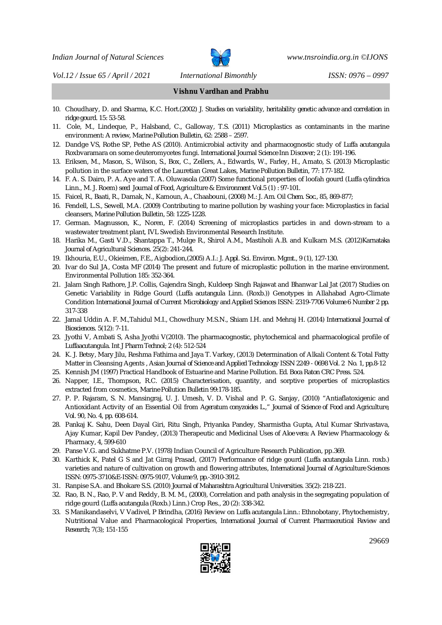

*Vol.12 / Issue 65 / April / 2021 International Bimonthly ISSN: 0976 – 0997*

**Vishnu Vardhan and Prabhu**

- 10. Choudhary, D. and Sharma, K.C. Hort.(2002) *J. Studies on variability, heritability genetic advance and correlation in ridge gourd. 15: 53-58.*
- *11.* Cole, M., Lindeque, P., Halsband, C., Galloway, T.S. (2011) Microplastics as contaminants in the marine environment*: A review, Marine Pollution Bulletin, 62: 2588 – 2597.*
- *12.* Dandge VS, Rothe SP, Pethe AS (2010). Antimicrobial activity and pharmacognostic study of *Luffa acutangula* Roxbvaramara on some deuteromycetes fungi. *International Journal Science Inn Discover; 2 (1): 191-196.*
- 13. Eriksen, M., Mason, S., Wilson, S., Box, C., Zellers, A., Edwards, W., Farley, H., Amato, S. (2013) Microplastic pollution in the surface waters of the Lauretian Great Lakes, *Marine Pollution Bulletin, 77: 177-182*.
- *14.* F. A. S. Dairo, P. A. Aye and T. A. Oluwasola (2007) Some functional properties of loofah gourd (*Luffa cylindrica* Linn., M. J. Roem) *seed Journal of Food, Agriculture & Environment Vol.5 (1) : 97-101.*
- *15.* Faicel, R., Baati, R., Damak, N., Kamoun, A., Chaabouni, (2008) M*.: J. Am. Oil Chem. Soc., 85, 869-877;*
- *16.* Fendell, L.S., Sewell, M.A. (2009) Contributing to marine pollution by washing your face: Microplastics in facial cleansers, *Marine Pollution Bulletin, 58: 1225-1228.*
- 17. German. Magnusson, K., Noren, F. (2014) Screening of microplastics particles in and down-stream to a wastewater treatment plant, IVL Swedish Environmental Research Institute.
- *18.* Harika M., Gasti V.D., Shantappa T., Mulge R., Shirol A.M., Mastiholi A.B. and Kulkarn M.S. (2012)*Karnataka Journal of Agricultural Sciences. 25(2): 241-244.*
- *19.* Ikhouria, E.U., Okieimen, F.E., Aigbodion,(2005) A.I.: *J. Appl. Sci. Environ. Mgmt., 9 (1), 127-130.*
- 20. Ivar do Sul JA, Costa MF (2014) The present and future of microplastic pollution in the marine environment. Environmental Pollution 185: 352-364.
- *21.* Jalam Singh Rathore, J.P. Collis, Gajendra Singh, Kuldeep Singh Rajawat and Bhanwar Lal Jat (2017) Studies on Genetic Variability in Ridge Gourd (*Luffa acutangula* Linn. (Roxb.)) Genotypes in Allahabad Agro-Climate Condition *International Journal of Current Microbiology and Applied Sciences ISSN: 2319-7706 Volume 6 Number 2 pp. 317-338*
- 22. Jamal Uddin A. F. M.,Tahidul M.I., Chowdhury M.S.N., Shiam I.H. and Mehraj H. (2014) *International Journal of Biosciences. 5(12): 7-11.*
- *23.* Jyothi V, Ambati S, Asha Jyothi V(2010). The pharmacognostic, phytochemical and pharmacological profile of *Luffaacutangula*. *Int J Pharm Technol; 2 (4): 512-524*
- *24.* K. J. Betsy, Mary Jilu, Reshma Fathima and Jaya T. Varkey, (2013) Determination of Alkali Content & Total Fatty Matter in Cleansing Agents , *Asian Journal of Science and Applied Technology ISSN 2249 - 0698 Vol. 2 No. 1, pp.8-12*
- 25. Kennish JM (1997) Practical Handbook of Estuarine and Marine Pollution. *Ed. Boca Raton CRC Press. 524.*
- *26.* Napper, I.E., Thompson, R.C. (2015) Characterisation, quantity, and sorptive properties of microplastics extracted from cosmetics, *Marine Pollution Bulletin 99:178-185.*
- 27. P. P. Rajaram, S. N. Mansingraj, U. J. Umesh, V. D. Vishal and P. G. Sanjay, (2010) "Antiaflatoxigenic and Antioxidant Activity of an Essential Oil from *Ageratum conyzoides L*.," *Journal of Science of Food and Agriculture, Vol. 90, No. 4, pp. 608-614*.
- 28. Pankaj K. Sahu, Deen Dayal Giri, Ritu Singh, Priyanka Pandey, Sharmistha Gupta, Atul Kumar Shrivastava, Ajay Kumar, Kapil Dev Pandey, (2013) Therapeutic and Medicinal Uses of *Aloe vera*: A Review Pharmacology & Pharmacy, 4, 599-610
- 29. Panse V.G. and Sukhatme P.V. (1978) Indian Council of Agriculture Research Publication, pp.369.
- 30. Karthick K, Patel G S and Jat Girraj Prasad, (2017) Performance of ridge gourd (*Luffa acutangula* Linn. roxb.) varieties and nature of cultivation on growth and flowering attributes, *International Journal of Agriculture Sciences ISSN: 0975-3710&E-ISSN: 0975-9107, Volume 9, pp.-3910-3912.*
- *31.* Ranpise S.A. and Bhokare S.S. (2010) *Journal of Maharashtra Agricultural Universities. 35(2): 218-221.*
- 32. Rao, B. N., Rao, P. V and Reddy, B. M. M., (2000), Correlation and path analysis in the segregating population of ridge gourd (*Luffa acutangula* (Roxb.) Linn.) Crop Res., 20 (2): 338-342.
- 33. S Manikandaselvi, V Vadivel, P Brindha, (2016) Review on *Luffa acutangula* Linn.: Ethnobotany, Phytochemistry, Nutritional Value and Pharmacological Properties, *International Journal of Current Pharmaceutical Review and Research; 7(3); 151-155*